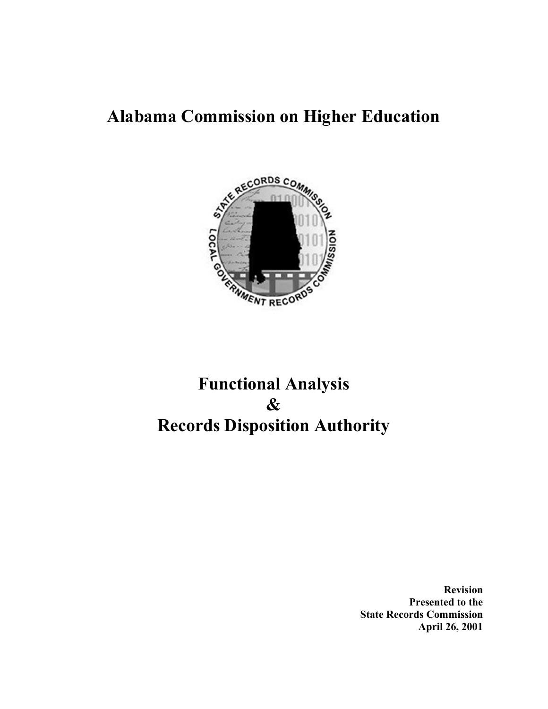# Alabama Commission on Higher Education



# Functional Analysis & Records Disposition Authority

Revision Presented to the State Records Commission April 26, 2001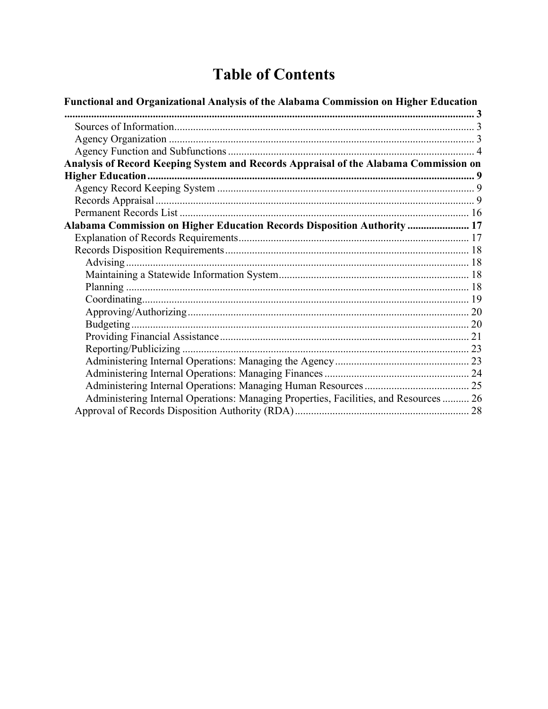# **Table of Contents**

| Functional and Organizational Analysis of the Alabama Commission on Higher Education  |  |
|---------------------------------------------------------------------------------------|--|
|                                                                                       |  |
|                                                                                       |  |
|                                                                                       |  |
|                                                                                       |  |
| Analysis of Record Keeping System and Records Appraisal of the Alabama Commission on  |  |
|                                                                                       |  |
|                                                                                       |  |
|                                                                                       |  |
|                                                                                       |  |
| Alabama Commission on Higher Education Records Disposition Authority  17              |  |
|                                                                                       |  |
|                                                                                       |  |
|                                                                                       |  |
|                                                                                       |  |
|                                                                                       |  |
|                                                                                       |  |
|                                                                                       |  |
|                                                                                       |  |
|                                                                                       |  |
|                                                                                       |  |
|                                                                                       |  |
|                                                                                       |  |
|                                                                                       |  |
| Administering Internal Operations: Managing Properties, Facilities, and Resources  26 |  |
|                                                                                       |  |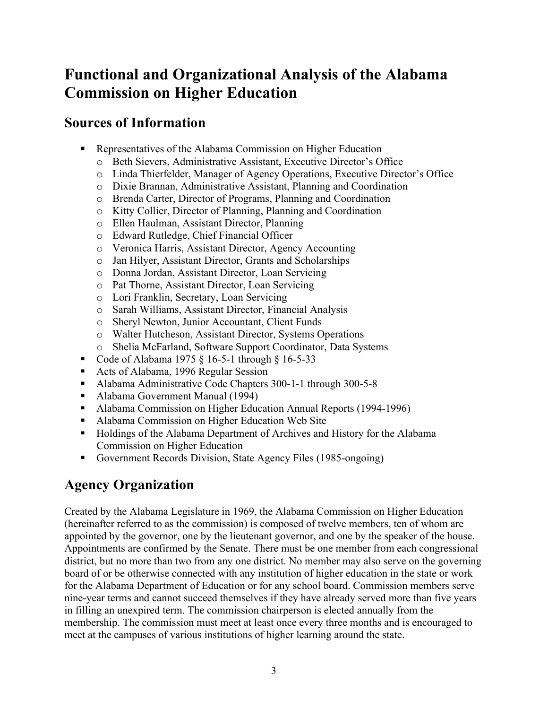# Functional and Organizational Analysis of the Alabama Commission on Higher Education

## Sources of Information

- Representatives of the Alabama Commission on Higher Education
	- o Beth Sievers, Administrative Assistant, Executive Director's Office
	- o Linda Thierfelder, Manager of Agency Operations, Executive Director's Office
	- o Dixie Brannan, Administrative Assistant, Planning and Coordination
	- o Brenda Carter, Director of Programs, Planning and Coordination
	- o Kitty Collier, Director of Planning, Planning and Coordination
	- o Ellen Haulman, Assistant Director, Planning
	- o Edward Rutledge, Chief Financial Officer
	- o Veronica Harris, Assistant Director, Agency Accounting
	- o Jan Hilyer, Assistant Director, Grants and Scholarships
	- o Donna Jordan, Assistant Director, Loan Servicing
	- o Pat Thorne, Assistant Director, Loan Servicing
	- o Lori Franklin, Secretary, Loan Servicing
	- o Sarah Williams, Assistant Director, Financial Analysis
	- o Sheryl Newton, Junior Accountant, Client Funds
	- o Walter Hutcheson, Assistant Director, Systems Operations
	- o Shelia McFarland, Software Support Coordinator, Data Systems
- Code of Alabama 1975  $\S$  16-5-1 through  $\S$  16-5-33
- Acts of Alabama, 1996 Regular Session
- Alabama Administrative Code Chapters 300-1-1 through 300-5-8
- Alabama Government Manual (1994)
- Alabama Commission on Higher Education Annual Reports (1994-1996)
- Alabama Commission on Higher Education Web Site
- **Holdings of the Alabama Department of Archives and History for the Alabama** Commission on Higher Education
- Government Records Division, State Agency Files (1985-ongoing)

## Agency Organization

Created by the Alabama Legislature in 1969, the Alabama Commission on Higher Education (hereinafter referred to as the commission) is composed of twelve members, ten of whom are appointed by the governor, one by the lieutenant governor, and one by the speaker of the house. Appointments are confirmed by the Senate. There must be one member from each congressional district, but no more than two from any one district. No member may also serve on the governing board of or be otherwise connected with any institution of higher education in the state or work for the Alabama Department of Education or for any school board. Commission members serve nine-year terms and cannot succeed themselves if they have already served more than five years in filling an unexpired term. The commission chairperson is elected annually from the membership. The commission must meet at least once every three months and is encouraged to meet at the campuses of various institutions of higher learning around the state.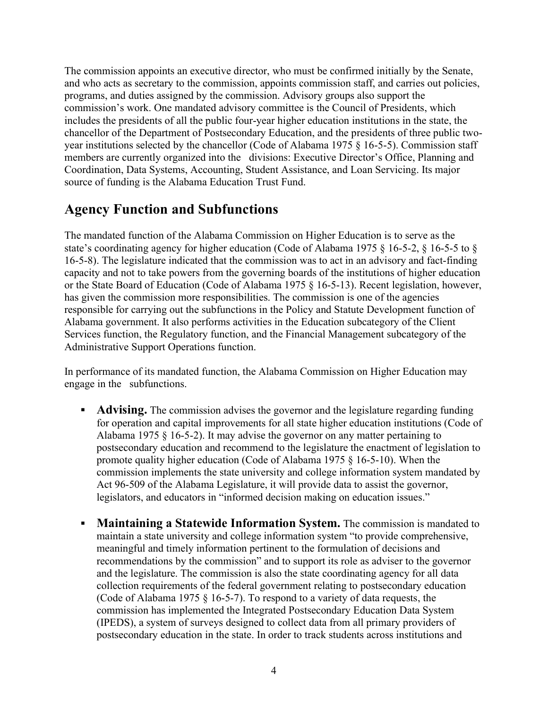The commission appoints an executive director, who must be confirmed initially by the Senate, and who acts as secretary to the commission, appoints commission staff, and carries out policies, programs, and duties assigned by the commission. Advisory groups also support the commission's work. One mandated advisory committee is the Council of Presidents, which includes the presidents of all the public four-year higher education institutions in the state, the chancellor of the Department of Postsecondary Education, and the presidents of three public twoyear institutions selected by the chancellor (Code of Alabama 1975 § 16-5-5). Commission staff members are currently organized into the divisions: Executive Director's Office, Planning and Coordination, Data Systems, Accounting, Student Assistance, and Loan Servicing. Its major source of funding is the Alabama Education Trust Fund.

## Agency Function and Subfunctions

The mandated function of the Alabama Commission on Higher Education is to serve as the state's coordinating agency for higher education (Code of Alabama 1975 § 16-5-2, § 16-5-5 to § 16-5-8). The legislature indicated that the commission was to act in an advisory and fact-finding capacity and not to take powers from the governing boards of the institutions of higher education or the State Board of Education (Code of Alabama 1975 § 16-5-13). Recent legislation, however, has given the commission more responsibilities. The commission is one of the agencies responsible for carrying out the subfunctions in the Policy and Statute Development function of Alabama government. It also performs activities in the Education subcategory of the Client Services function, the Regulatory function, and the Financial Management subcategory of the Administrative Support Operations function.

In performance of its mandated function, the Alabama Commission on Higher Education may engage in the subfunctions.

- Advising. The commission advises the governor and the legislature regarding funding for operation and capital improvements for all state higher education institutions (Code of Alabama 1975 § 16-5-2). It may advise the governor on any matter pertaining to postsecondary education and recommend to the legislature the enactment of legislation to promote quality higher education (Code of Alabama 1975 § 16-5-10). When the commission implements the state university and college information system mandated by Act 96-509 of the Alabama Legislature, it will provide data to assist the governor, legislators, and educators in "informed decision making on education issues."
- Maintaining a Statewide Information System. The commission is mandated to maintain a state university and college information system "to provide comprehensive, meaningful and timely information pertinent to the formulation of decisions and recommendations by the commission" and to support its role as adviser to the governor and the legislature. The commission is also the state coordinating agency for all data collection requirements of the federal government relating to postsecondary education (Code of Alabama 1975  $\S$  16-5-7). To respond to a variety of data requests, the commission has implemented the Integrated Postsecondary Education Data System (IPEDS), a system of surveys designed to collect data from all primary providers of postsecondary education in the state. In order to track students across institutions and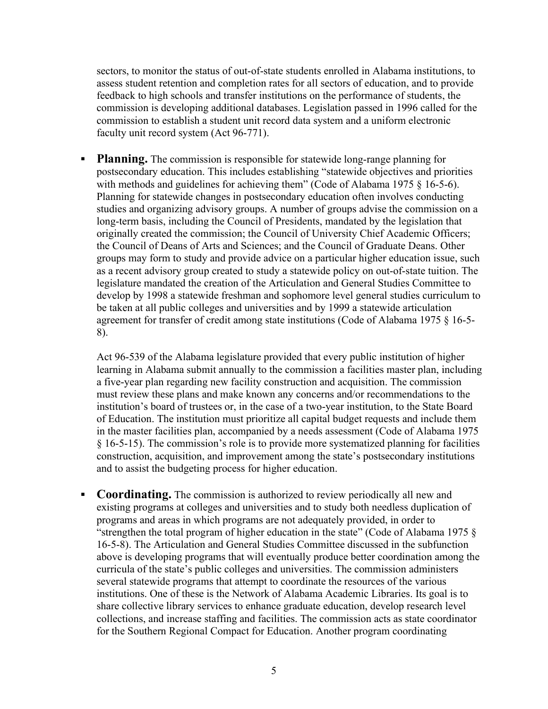sectors, to monitor the status of out-of-state students enrolled in Alabama institutions, to assess student retention and completion rates for all sectors of education, and to provide feedback to high schools and transfer institutions on the performance of students, the commission is developing additional databases. Legislation passed in 1996 called for the commission to establish a student unit record data system and a uniform electronic faculty unit record system (Act 96-771).

**Planning.** The commission is responsible for statewide long-range planning for postsecondary education. This includes establishing "statewide objectives and priorities with methods and guidelines for achieving them" (Code of Alabama 1975 § 16-5-6). Planning for statewide changes in postsecondary education often involves conducting studies and organizing advisory groups. A number of groups advise the commission on a long-term basis, including the Council of Presidents, mandated by the legislation that originally created the commission; the Council of University Chief Academic Officers; the Council of Deans of Arts and Sciences; and the Council of Graduate Deans. Other groups may form to study and provide advice on a particular higher education issue, such as a recent advisory group created to study a statewide policy on out-of-state tuition. The legislature mandated the creation of the Articulation and General Studies Committee to develop by 1998 a statewide freshman and sophomore level general studies curriculum to be taken at all public colleges and universities and by 1999 a statewide articulation agreement for transfer of credit among state institutions (Code of Alabama 1975 § 16-5- 8).

Act 96-539 of the Alabama legislature provided that every public institution of higher learning in Alabama submit annually to the commission a facilities master plan, including a five-year plan regarding new facility construction and acquisition. The commission must review these plans and make known any concerns and/or recommendations to the institution's board of trustees or, in the case of a two-year institution, to the State Board of Education. The institution must prioritize all capital budget requests and include them in the master facilities plan, accompanied by a needs assessment (Code of Alabama 1975 § 16-5-15). The commission's role is to provide more systematized planning for facilities construction, acquisition, and improvement among the state's postsecondary institutions and to assist the budgeting process for higher education.

**Coordinating.** The commission is authorized to review periodically all new and existing programs at colleges and universities and to study both needless duplication of programs and areas in which programs are not adequately provided, in order to "strengthen the total program of higher education in the state" (Code of Alabama 1975  $\delta$ ) 16-5-8). The Articulation and General Studies Committee discussed in the subfunction above is developing programs that will eventually produce better coordination among the curricula of the state's public colleges and universities. The commission administers several statewide programs that attempt to coordinate the resources of the various institutions. One of these is the Network of Alabama Academic Libraries. Its goal is to share collective library services to enhance graduate education, develop research level collections, and increase staffing and facilities. The commission acts as state coordinator for the Southern Regional Compact for Education. Another program coordinating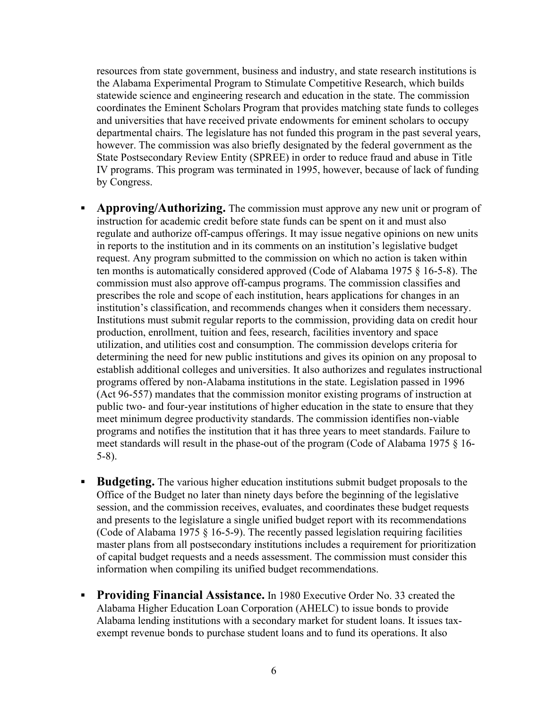resources from state government, business and industry, and state research institutions is the Alabama Experimental Program to Stimulate Competitive Research, which builds statewide science and engineering research and education in the state. The commission coordinates the Eminent Scholars Program that provides matching state funds to colleges and universities that have received private endowments for eminent scholars to occupy departmental chairs. The legislature has not funded this program in the past several years, however. The commission was also briefly designated by the federal government as the State Postsecondary Review Entity (SPREE) in order to reduce fraud and abuse in Title IV programs. This program was terminated in 1995, however, because of lack of funding by Congress.

- **Approving/Authorizing.** The commission must approve any new unit or program of instruction for academic credit before state funds can be spent on it and must also regulate and authorize off-campus offerings. It may issue negative opinions on new units in reports to the institution and in its comments on an institution's legislative budget request. Any program submitted to the commission on which no action is taken within ten months is automatically considered approved (Code of Alabama 1975 § 16-5-8). The commission must also approve off-campus programs. The commission classifies and prescribes the role and scope of each institution, hears applications for changes in an institution's classification, and recommends changes when it considers them necessary. Institutions must submit regular reports to the commission, providing data on credit hour production, enrollment, tuition and fees, research, facilities inventory and space utilization, and utilities cost and consumption. The commission develops criteria for determining the need for new public institutions and gives its opinion on any proposal to establish additional colleges and universities. It also authorizes and regulates instructional programs offered by non-Alabama institutions in the state. Legislation passed in 1996 (Act 96-557) mandates that the commission monitor existing programs of instruction at public two- and four-year institutions of higher education in the state to ensure that they meet minimum degree productivity standards. The commission identifies non-viable programs and notifies the institution that it has three years to meet standards. Failure to meet standards will result in the phase-out of the program (Code of Alabama 1975 § 16- 5-8).
- **Budgeting.** The various higher education institutions submit budget proposals to the Office of the Budget no later than ninety days before the beginning of the legislative session, and the commission receives, evaluates, and coordinates these budget requests and presents to the legislature a single unified budget report with its recommendations (Code of Alabama 1975  $\S$  16-5-9). The recently passed legislation requiring facilities master plans from all postsecondary institutions includes a requirement for prioritization of capital budget requests and a needs assessment. The commission must consider this information when compiling its unified budget recommendations.
- **Providing Financial Assistance.** In 1980 Executive Order No. 33 created the Alabama Higher Education Loan Corporation (AHELC) to issue bonds to provide Alabama lending institutions with a secondary market for student loans. It issues taxexempt revenue bonds to purchase student loans and to fund its operations. It also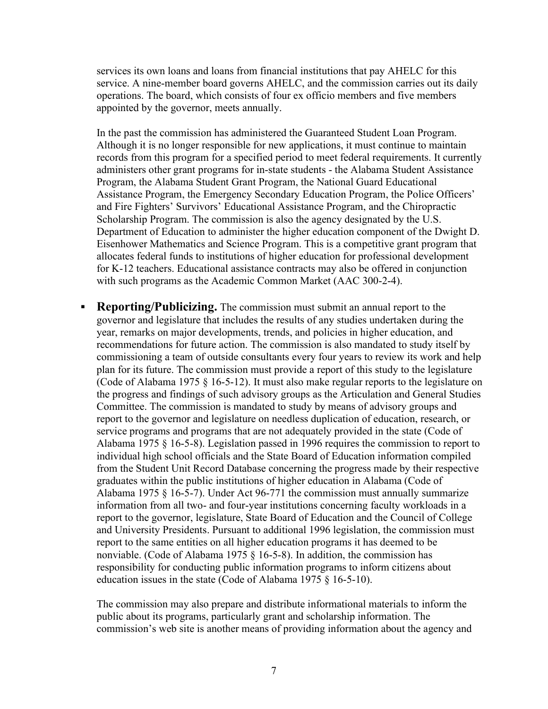services its own loans and loans from financial institutions that pay AHELC for this service. A nine-member board governs AHELC, and the commission carries out its daily operations. The board, which consists of four ex officio members and five members appointed by the governor, meets annually.

In the past the commission has administered the Guaranteed Student Loan Program. Although it is no longer responsible for new applications, it must continue to maintain records from this program for a specified period to meet federal requirements. It currently administers other grant programs for in-state students - the Alabama Student Assistance Program, the Alabama Student Grant Program, the National Guard Educational Assistance Program, the Emergency Secondary Education Program, the Police Officers' and Fire Fighters' Survivors' Educational Assistance Program, and the Chiropractic Scholarship Program. The commission is also the agency designated by the U.S. Department of Education to administer the higher education component of the Dwight D. Eisenhower Mathematics and Science Program. This is a competitive grant program that allocates federal funds to institutions of higher education for professional development for K-12 teachers. Educational assistance contracts may also be offered in conjunction with such programs as the Academic Common Market (AAC 300-2-4).

**Reporting/Publicizing.** The commission must submit an annual report to the governor and legislature that includes the results of any studies undertaken during the year, remarks on major developments, trends, and policies in higher education, and recommendations for future action. The commission is also mandated to study itself by commissioning a team of outside consultants every four years to review its work and help plan for its future. The commission must provide a report of this study to the legislature (Code of Alabama 1975 § 16-5-12). It must also make regular reports to the legislature on the progress and findings of such advisory groups as the Articulation and General Studies Committee. The commission is mandated to study by means of advisory groups and report to the governor and legislature on needless duplication of education, research, or service programs and programs that are not adequately provided in the state (Code of Alabama 1975 § 16-5-8). Legislation passed in 1996 requires the commission to report to individual high school officials and the State Board of Education information compiled from the Student Unit Record Database concerning the progress made by their respective graduates within the public institutions of higher education in Alabama (Code of Alabama 1975 § 16-5-7). Under Act 96-771 the commission must annually summarize information from all two- and four-year institutions concerning faculty workloads in a report to the governor, legislature, State Board of Education and the Council of College and University Presidents. Pursuant to additional 1996 legislation, the commission must report to the same entities on all higher education programs it has deemed to be nonviable. (Code of Alabama 1975 § 16-5-8). In addition, the commission has responsibility for conducting public information programs to inform citizens about education issues in the state (Code of Alabama 1975 § 16-5-10).

The commission may also prepare and distribute informational materials to inform the public about its programs, particularly grant and scholarship information. The commission's web site is another means of providing information about the agency and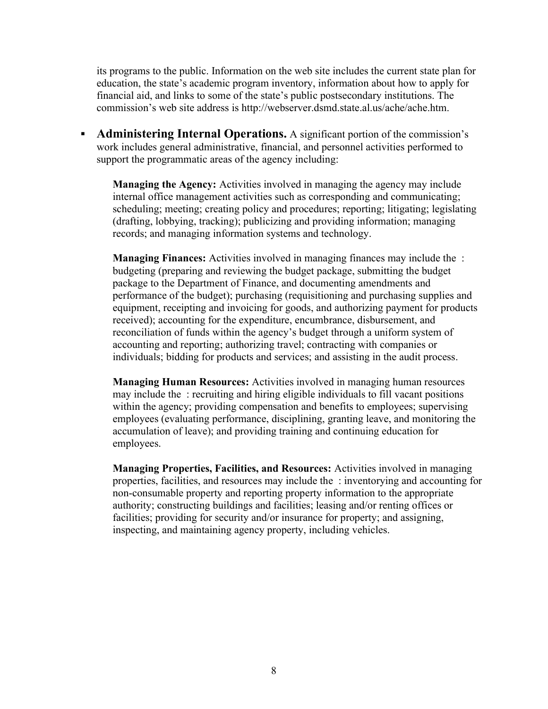its programs to the public. Information on the web site includes the current state plan for education, the state's academic program inventory, information about how to apply for financial aid, and links to some of the state's public postsecondary institutions. The commission's web site address is http://webserver.dsmd.state.al.us/ache/ache.htm.

• Administering Internal Operations. A significant portion of the commission's work includes general administrative, financial, and personnel activities performed to support the programmatic areas of the agency including:

Managing the Agency: Activities involved in managing the agency may include internal office management activities such as corresponding and communicating; scheduling; meeting; creating policy and procedures; reporting; litigating; legislating (drafting, lobbying, tracking); publicizing and providing information; managing records; and managing information systems and technology.

Managing Finances: Activities involved in managing finances may include the : budgeting (preparing and reviewing the budget package, submitting the budget package to the Department of Finance, and documenting amendments and performance of the budget); purchasing (requisitioning and purchasing supplies and equipment, receipting and invoicing for goods, and authorizing payment for products received); accounting for the expenditure, encumbrance, disbursement, and reconciliation of funds within the agency's budget through a uniform system of accounting and reporting; authorizing travel; contracting with companies or individuals; bidding for products and services; and assisting in the audit process.

Managing Human Resources: Activities involved in managing human resources may include the : recruiting and hiring eligible individuals to fill vacant positions within the agency; providing compensation and benefits to employees; supervising employees (evaluating performance, disciplining, granting leave, and monitoring the accumulation of leave); and providing training and continuing education for employees.

Managing Properties, Facilities, and Resources: Activities involved in managing properties, facilities, and resources may include the : inventorying and accounting for non-consumable property and reporting property information to the appropriate authority; constructing buildings and facilities; leasing and/or renting offices or facilities; providing for security and/or insurance for property; and assigning, inspecting, and maintaining agency property, including vehicles.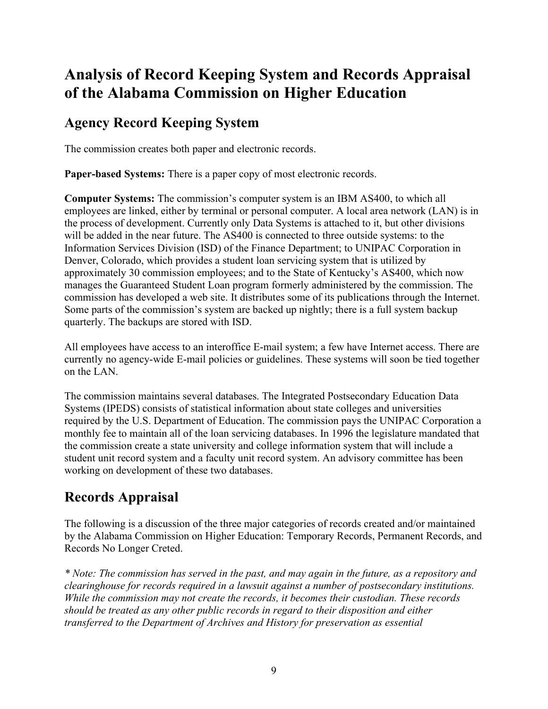# Analysis of Record Keeping System and Records Appraisal of the Alabama Commission on Higher Education

## Agency Record Keeping System

The commission creates both paper and electronic records.

Paper-based Systems: There is a paper copy of most electronic records.

Computer Systems: The commission's computer system is an IBM AS400, to which all employees are linked, either by terminal or personal computer. A local area network (LAN) is in the process of development. Currently only Data Systems is attached to it, but other divisions will be added in the near future. The AS400 is connected to three outside systems: to the Information Services Division (ISD) of the Finance Department; to UNIPAC Corporation in Denver, Colorado, which provides a student loan servicing system that is utilized by approximately 30 commission employees; and to the State of Kentucky's AS400, which now manages the Guaranteed Student Loan program formerly administered by the commission. The commission has developed a web site. It distributes some of its publications through the Internet. Some parts of the commission's system are backed up nightly; there is a full system backup quarterly. The backups are stored with ISD.

All employees have access to an interoffice E-mail system; a few have Internet access. There are currently no agency-wide E-mail policies or guidelines. These systems will soon be tied together on the LAN.

The commission maintains several databases. The Integrated Postsecondary Education Data Systems (IPEDS) consists of statistical information about state colleges and universities required by the U.S. Department of Education. The commission pays the UNIPAC Corporation a monthly fee to maintain all of the loan servicing databases. In 1996 the legislature mandated that the commission create a state university and college information system that will include a student unit record system and a faculty unit record system. An advisory committee has been working on development of these two databases.

# Records Appraisal

The following is a discussion of the three major categories of records created and/or maintained by the Alabama Commission on Higher Education: Temporary Records, Permanent Records, and Records No Longer Creted.

\* Note: The commission has served in the past, and may again in the future, as a repository and clearinghouse for records required in a lawsuit against a number of postsecondary institutions. While the commission may not create the records, it becomes their custodian. These records should be treated as any other public records in regard to their disposition and either transferred to the Department of Archives and History for preservation as essential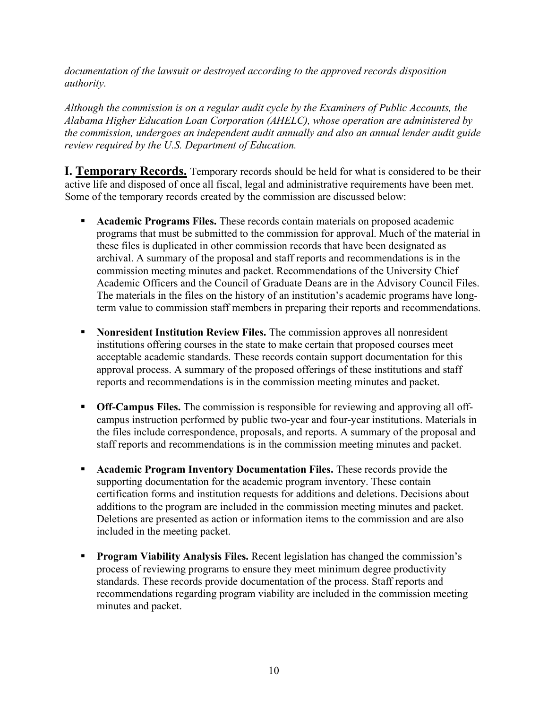documentation of the lawsuit or destroyed according to the approved records disposition authority.

Although the commission is on a regular audit cycle by the Examiners of Public Accounts, the Alabama Higher Education Loan Corporation (AHELC), whose operation are administered by the commission, undergoes an independent audit annually and also an annual lender audit guide review required by the U.S. Department of Education.

**I. Temporary Records.** Temporary records should be held for what is considered to be their active life and disposed of once all fiscal, legal and administrative requirements have been met. Some of the temporary records created by the commission are discussed below:

- **Academic Programs Files.** These records contain materials on proposed academic programs that must be submitted to the commission for approval. Much of the material in these files is duplicated in other commission records that have been designated as archival. A summary of the proposal and staff reports and recommendations is in the commission meeting minutes and packet. Recommendations of the University Chief Academic Officers and the Council of Graduate Deans are in the Advisory Council Files. The materials in the files on the history of an institution's academic programs have longterm value to commission staff members in preparing their reports and recommendations.
- Nonresident Institution Review Files. The commission approves all nonresident institutions offering courses in the state to make certain that proposed courses meet acceptable academic standards. These records contain support documentation for this approval process. A summary of the proposed offerings of these institutions and staff reports and recommendations is in the commission meeting minutes and packet.
- **Off-Campus Files.** The commission is responsible for reviewing and approving all offcampus instruction performed by public two-year and four-year institutions. Materials in the files include correspondence, proposals, and reports. A summary of the proposal and staff reports and recommendations is in the commission meeting minutes and packet.
- **Academic Program Inventory Documentation Files.** These records provide the supporting documentation for the academic program inventory. These contain certification forms and institution requests for additions and deletions. Decisions about additions to the program are included in the commission meeting minutes and packet. Deletions are presented as action or information items to the commission and are also included in the meeting packet.
- **Program Viability Analysis Files.** Recent legislation has changed the commission's process of reviewing programs to ensure they meet minimum degree productivity standards. These records provide documentation of the process. Staff reports and recommendations regarding program viability are included in the commission meeting minutes and packet.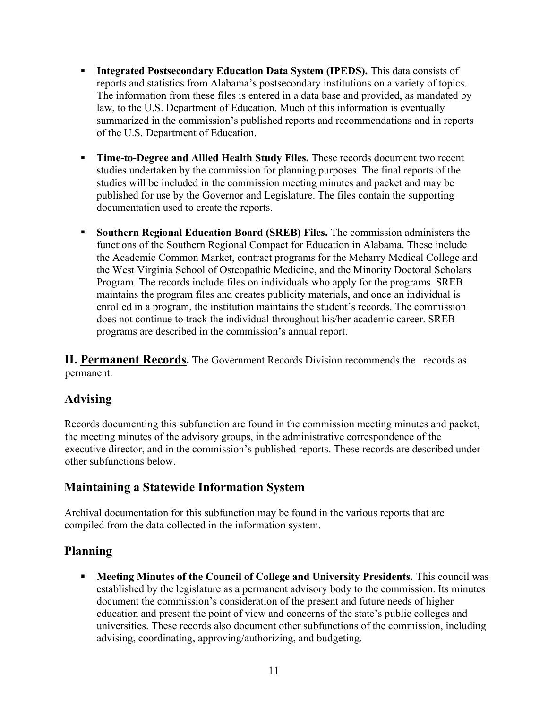- **Integrated Postsecondary Education Data System (IPEDS).** This data consists of reports and statistics from Alabama's postsecondary institutions on a variety of topics. The information from these files is entered in a data base and provided, as mandated by law, to the U.S. Department of Education. Much of this information is eventually summarized in the commission's published reports and recommendations and in reports of the U.S. Department of Education.
- Time-to-Degree and Allied Health Study Files. These records document two recent studies undertaken by the commission for planning purposes. The final reports of the studies will be included in the commission meeting minutes and packet and may be published for use by the Governor and Legislature. The files contain the supporting documentation used to create the reports.
- **Southern Regional Education Board (SREB) Files.** The commission administers the functions of the Southern Regional Compact for Education in Alabama. These include the Academic Common Market, contract programs for the Meharry Medical College and the West Virginia School of Osteopathic Medicine, and the Minority Doctoral Scholars Program. The records include files on individuals who apply for the programs. SREB maintains the program files and creates publicity materials, and once an individual is enrolled in a program, the institution maintains the student's records. The commission does not continue to track the individual throughout his/her academic career. SREB programs are described in the commission's annual report.

II. Permanent Records. The Government Records Division recommends the records as permanent.

## Advising

Records documenting this subfunction are found in the commission meeting minutes and packet, the meeting minutes of the advisory groups, in the administrative correspondence of the executive director, and in the commission's published reports. These records are described under other subfunctions below.

## Maintaining a Statewide Information System

Archival documentation for this subfunction may be found in the various reports that are compiled from the data collected in the information system.

## Planning

 Meeting Minutes of the Council of College and University Presidents. This council was established by the legislature as a permanent advisory body to the commission. Its minutes document the commission's consideration of the present and future needs of higher education and present the point of view and concerns of the state's public colleges and universities. These records also document other subfunctions of the commission, including advising, coordinating, approving/authorizing, and budgeting.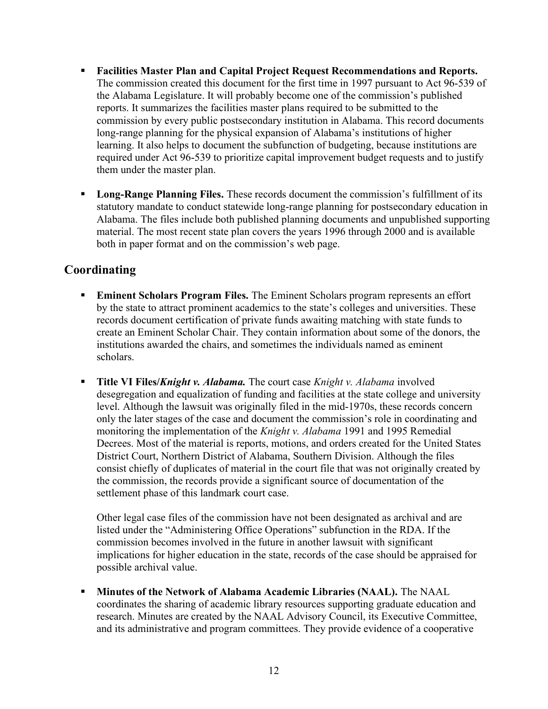- Facilities Master Plan and Capital Project Request Recommendations and Reports. The commission created this document for the first time in 1997 pursuant to Act 96-539 of the Alabama Legislature. It will probably become one of the commission's published reports. It summarizes the facilities master plans required to be submitted to the commission by every public postsecondary institution in Alabama. This record documents long-range planning for the physical expansion of Alabama's institutions of higher learning. It also helps to document the subfunction of budgeting, because institutions are required under Act 96-539 to prioritize capital improvement budget requests and to justify them under the master plan.
- **Long-Range Planning Files.** These records document the commission's fulfillment of its statutory mandate to conduct statewide long-range planning for postsecondary education in Alabama. The files include both published planning documents and unpublished supporting material. The most recent state plan covers the years 1996 through 2000 and is available both in paper format and on the commission's web page.

## Coordinating

- **Eminent Scholars Program Files.** The Eminent Scholars program represents an effort by the state to attract prominent academics to the state's colleges and universities. These records document certification of private funds awaiting matching with state funds to create an Eminent Scholar Chair. They contain information about some of the donors, the institutions awarded the chairs, and sometimes the individuals named as eminent scholars.
- **Title VI Files/Knight v. Alabama.** The court case *Knight v. Alabama* involved desegregation and equalization of funding and facilities at the state college and university level. Although the lawsuit was originally filed in the mid-1970s, these records concern only the later stages of the case and document the commission's role in coordinating and monitoring the implementation of the *Knight v. Alabama* 1991 and 1995 Remedial Decrees. Most of the material is reports, motions, and orders created for the United States District Court, Northern District of Alabama, Southern Division. Although the files consist chiefly of duplicates of material in the court file that was not originally created by the commission, the records provide a significant source of documentation of the settlement phase of this landmark court case.

Other legal case files of the commission have not been designated as archival and are listed under the "Administering Office Operations" subfunction in the RDA. If the commission becomes involved in the future in another lawsuit with significant implications for higher education in the state, records of the case should be appraised for possible archival value.

 Minutes of the Network of Alabama Academic Libraries (NAAL). The NAAL coordinates the sharing of academic library resources supporting graduate education and research. Minutes are created by the NAAL Advisory Council, its Executive Committee, and its administrative and program committees. They provide evidence of a cooperative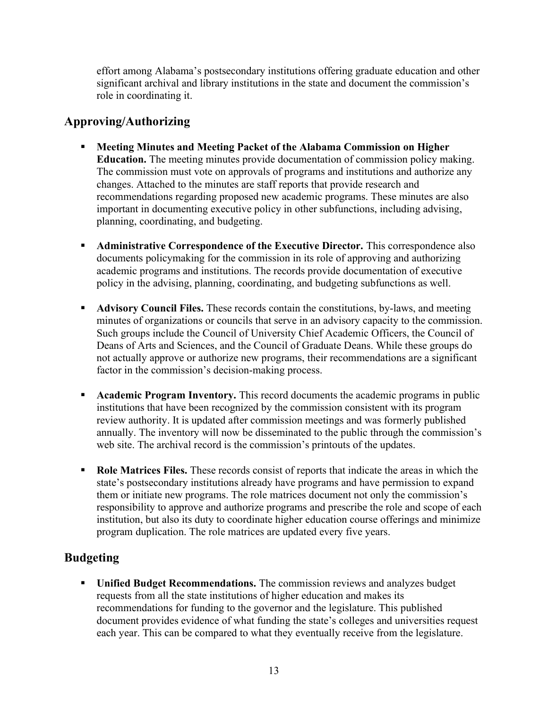effort among Alabama's postsecondary institutions offering graduate education and other significant archival and library institutions in the state and document the commission's role in coordinating it.

## Approving/Authorizing

- Meeting Minutes and Meeting Packet of the Alabama Commission on Higher Education. The meeting minutes provide documentation of commission policy making. The commission must vote on approvals of programs and institutions and authorize any changes. Attached to the minutes are staff reports that provide research and recommendations regarding proposed new academic programs. These minutes are also important in documenting executive policy in other subfunctions, including advising, planning, coordinating, and budgeting.
- Administrative Correspondence of the Executive Director. This correspondence also documents policymaking for the commission in its role of approving and authorizing academic programs and institutions. The records provide documentation of executive policy in the advising, planning, coordinating, and budgeting subfunctions as well.
- **Advisory Council Files.** These records contain the constitutions, by-laws, and meeting minutes of organizations or councils that serve in an advisory capacity to the commission. Such groups include the Council of University Chief Academic Officers, the Council of Deans of Arts and Sciences, and the Council of Graduate Deans. While these groups do not actually approve or authorize new programs, their recommendations are a significant factor in the commission's decision-making process.
- **Academic Program Inventory.** This record documents the academic programs in public institutions that have been recognized by the commission consistent with its program review authority. It is updated after commission meetings and was formerly published annually. The inventory will now be disseminated to the public through the commission's web site. The archival record is the commission's printouts of the updates.
- Role Matrices Files. These records consist of reports that indicate the areas in which the state's postsecondary institutions already have programs and have permission to expand them or initiate new programs. The role matrices document not only the commission's responsibility to approve and authorize programs and prescribe the role and scope of each institution, but also its duty to coordinate higher education course offerings and minimize program duplication. The role matrices are updated every five years.

## Budgeting

**Unified Budget Recommendations.** The commission reviews and analyzes budget requests from all the state institutions of higher education and makes its recommendations for funding to the governor and the legislature. This published document provides evidence of what funding the state's colleges and universities request each year. This can be compared to what they eventually receive from the legislature.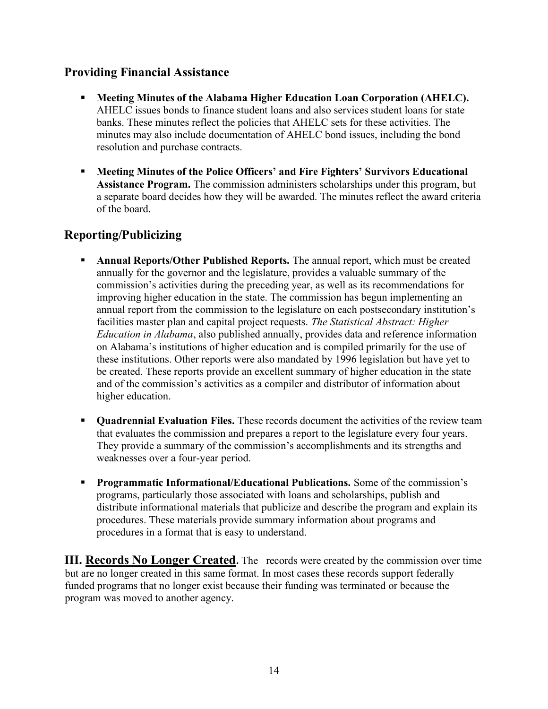## Providing Financial Assistance

- Meeting Minutes of the Alabama Higher Education Loan Corporation (AHELC). AHELC issues bonds to finance student loans and also services student loans for state banks. These minutes reflect the policies that AHELC sets for these activities. The minutes may also include documentation of AHELC bond issues, including the bond resolution and purchase contracts.
- Meeting Minutes of the Police Officers' and Fire Fighters' Survivors Educational Assistance Program. The commission administers scholarships under this program, but a separate board decides how they will be awarded. The minutes reflect the award criteria of the board.

## Reporting/Publicizing

- **Annual Reports/Other Published Reports.** The annual report, which must be created annually for the governor and the legislature, provides a valuable summary of the commission's activities during the preceding year, as well as its recommendations for improving higher education in the state. The commission has begun implementing an annual report from the commission to the legislature on each postsecondary institution's facilities master plan and capital project requests. The Statistical Abstract: Higher Education in Alabama, also published annually, provides data and reference information on Alabama's institutions of higher education and is compiled primarily for the use of these institutions. Other reports were also mandated by 1996 legislation but have yet to be created. These reports provide an excellent summary of higher education in the state and of the commission's activities as a compiler and distributor of information about higher education.
- **Quadrennial Evaluation Files.** These records document the activities of the review team that evaluates the commission and prepares a report to the legislature every four years. They provide a summary of the commission's accomplishments and its strengths and weaknesses over a four-year period.
- **Programmatic Informational/Educational Publications.** Some of the commission's programs, particularly those associated with loans and scholarships, publish and distribute informational materials that publicize and describe the program and explain its procedures. These materials provide summary information about programs and procedures in a format that is easy to understand.

III. Records No Longer Created. The records were created by the commission over time but are no longer created in this same format. In most cases these records support federally funded programs that no longer exist because their funding was terminated or because the program was moved to another agency.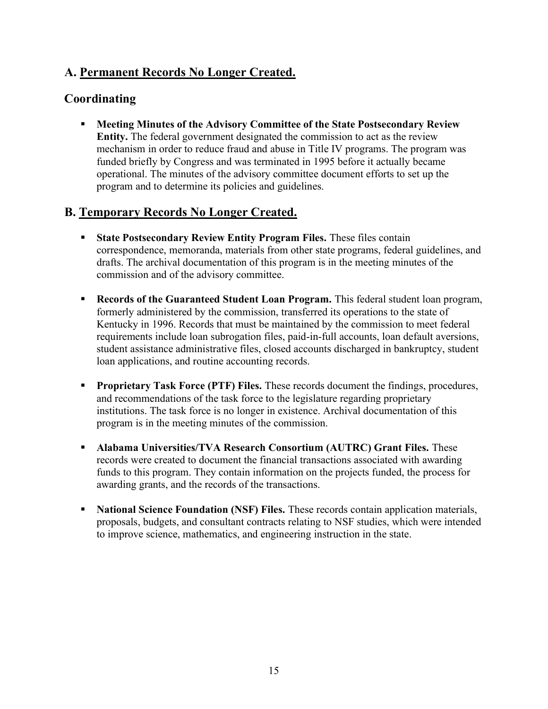## A. Permanent Records No Longer Created.

## Coordinating

 Meeting Minutes of the Advisory Committee of the State Postsecondary Review Entity. The federal government designated the commission to act as the review mechanism in order to reduce fraud and abuse in Title IV programs. The program was funded briefly by Congress and was terminated in 1995 before it actually became operational. The minutes of the advisory committee document efforts to set up the program and to determine its policies and guidelines.

## B. Temporary Records No Longer Created.

- State Postsecondary Review Entity Program Files. These files contain correspondence, memoranda, materials from other state programs, federal guidelines, and drafts. The archival documentation of this program is in the meeting minutes of the commission and of the advisory committee.
- **Records of the Guaranteed Student Loan Program.** This federal student loan program, formerly administered by the commission, transferred its operations to the state of Kentucky in 1996. Records that must be maintained by the commission to meet federal requirements include loan subrogation files, paid-in-full accounts, loan default aversions, student assistance administrative files, closed accounts discharged in bankruptcy, student loan applications, and routine accounting records.
- **Proprietary Task Force (PTF) Files.** These records document the findings, procedures, and recommendations of the task force to the legislature regarding proprietary institutions. The task force is no longer in existence. Archival documentation of this program is in the meeting minutes of the commission.
- Alabama Universities/TVA Research Consortium (AUTRC) Grant Files. These records were created to document the financial transactions associated with awarding funds to this program. They contain information on the projects funded, the process for awarding grants, and the records of the transactions.
- National Science Foundation (NSF) Files. These records contain application materials, proposals, budgets, and consultant contracts relating to NSF studies, which were intended to improve science, mathematics, and engineering instruction in the state.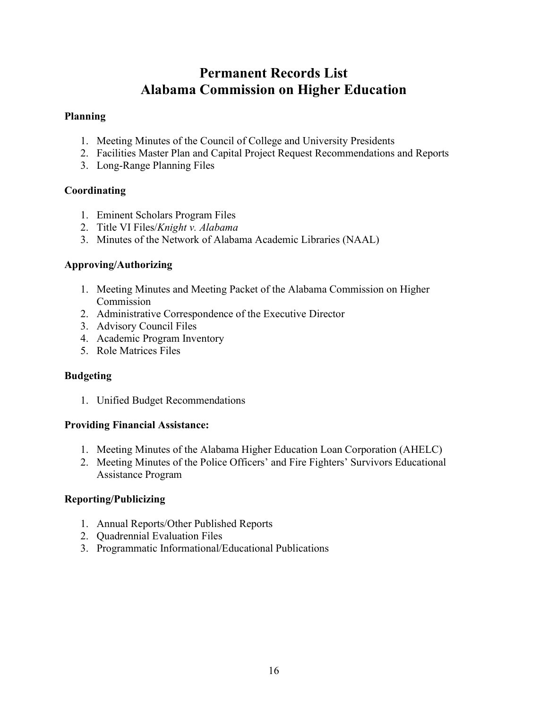## Permanent Records List Alabama Commission on Higher Education

#### Planning

- 1. Meeting Minutes of the Council of College and University Presidents
- 2. Facilities Master Plan and Capital Project Request Recommendations and Reports
- 3. Long-Range Planning Files

### Coordinating

- 1. Eminent Scholars Program Files
- 2. Title VI Files/Knight v. Alabama
- 3. Minutes of the Network of Alabama Academic Libraries (NAAL)

#### Approving/Authorizing

- 1. Meeting Minutes and Meeting Packet of the Alabama Commission on Higher Commission
- 2. Administrative Correspondence of the Executive Director
- 3. Advisory Council Files
- 4. Academic Program Inventory
- 5. Role Matrices Files

### **Budgeting**

1. Unified Budget Recommendations

#### Providing Financial Assistance:

- 1. Meeting Minutes of the Alabama Higher Education Loan Corporation (AHELC)
- 2. Meeting Minutes of the Police Officers' and Fire Fighters' Survivors Educational Assistance Program

### Reporting/Publicizing

- 1. Annual Reports/Other Published Reports
- 2. Quadrennial Evaluation Files
- 3. Programmatic Informational/Educational Publications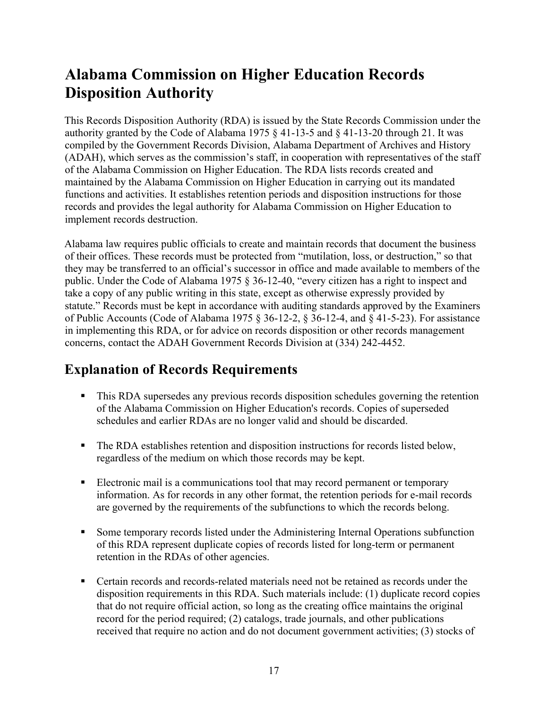# Alabama Commission on Higher Education Records Disposition Authority

This Records Disposition Authority (RDA) is issued by the State Records Commission under the authority granted by the Code of Alabama 1975 § 41-13-5 and § 41-13-20 through 21. It was compiled by the Government Records Division, Alabama Department of Archives and History (ADAH), which serves as the commission's staff, in cooperation with representatives of the staff of the Alabama Commission on Higher Education. The RDA lists records created and maintained by the Alabama Commission on Higher Education in carrying out its mandated functions and activities. It establishes retention periods and disposition instructions for those records and provides the legal authority for Alabama Commission on Higher Education to implement records destruction.

Alabama law requires public officials to create and maintain records that document the business of their offices. These records must be protected from "mutilation, loss, or destruction," so that they may be transferred to an official's successor in office and made available to members of the public. Under the Code of Alabama 1975 § 36-12-40, "every citizen has a right to inspect and take a copy of any public writing in this state, except as otherwise expressly provided by statute." Records must be kept in accordance with auditing standards approved by the Examiners of Public Accounts (Code of Alabama 1975 § 36-12-2, § 36-12-4, and § 41-5-23). For assistance in implementing this RDA, or for advice on records disposition or other records management concerns, contact the ADAH Government Records Division at (334) 242-4452.

## Explanation of Records Requirements

- This RDA supersedes any previous records disposition schedules governing the retention of the Alabama Commission on Higher Education's records. Copies of superseded schedules and earlier RDAs are no longer valid and should be discarded.
- The RDA establishes retention and disposition instructions for records listed below, regardless of the medium on which those records may be kept.
- Electronic mail is a communications tool that may record permanent or temporary information. As for records in any other format, the retention periods for e-mail records are governed by the requirements of the subfunctions to which the records belong.
- Some temporary records listed under the Administering Internal Operations subfunction of this RDA represent duplicate copies of records listed for long-term or permanent retention in the RDAs of other agencies.
- Certain records and records-related materials need not be retained as records under the disposition requirements in this RDA. Such materials include: (1) duplicate record copies that do not require official action, so long as the creating office maintains the original record for the period required; (2) catalogs, trade journals, and other publications received that require no action and do not document government activities; (3) stocks of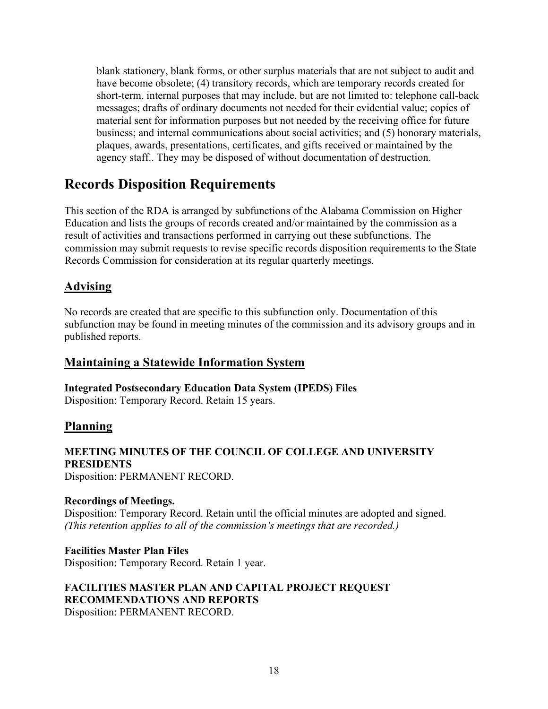blank stationery, blank forms, or other surplus materials that are not subject to audit and have become obsolete; (4) transitory records, which are temporary records created for short-term, internal purposes that may include, but are not limited to: telephone call-back messages; drafts of ordinary documents not needed for their evidential value; copies of material sent for information purposes but not needed by the receiving office for future business; and internal communications about social activities; and (5) honorary materials, plaques, awards, presentations, certificates, and gifts received or maintained by the agency staff.. They may be disposed of without documentation of destruction.

## Records Disposition Requirements

This section of the RDA is arranged by subfunctions of the Alabama Commission on Higher Education and lists the groups of records created and/or maintained by the commission as a result of activities and transactions performed in carrying out these subfunctions. The commission may submit requests to revise specific records disposition requirements to the State Records Commission for consideration at its regular quarterly meetings.

## Advising

No records are created that are specific to this subfunction only. Documentation of this subfunction may be found in meeting minutes of the commission and its advisory groups and in published reports.

### Maintaining a Statewide Information System

Integrated Postsecondary Education Data System (IPEDS) Files Disposition: Temporary Record. Retain 15 years.

### Planning

## MEETING MINUTES OF THE COUNCIL OF COLLEGE AND UNIVERSITY PRESIDENTS

Disposition: PERMANENT RECORD.

#### Recordings of Meetings. Disposition: Temporary Record. Retain until the official minutes are adopted and signed. (This retention applies to all of the commission's meetings that are recorded.)

Facilities Master Plan Files Disposition: Temporary Record. Retain 1 year.

## FACILITIES MASTER PLAN AND CAPITAL PROJECT REQUEST RECOMMENDATIONS AND REPORTS

Disposition: PERMANENT RECORD.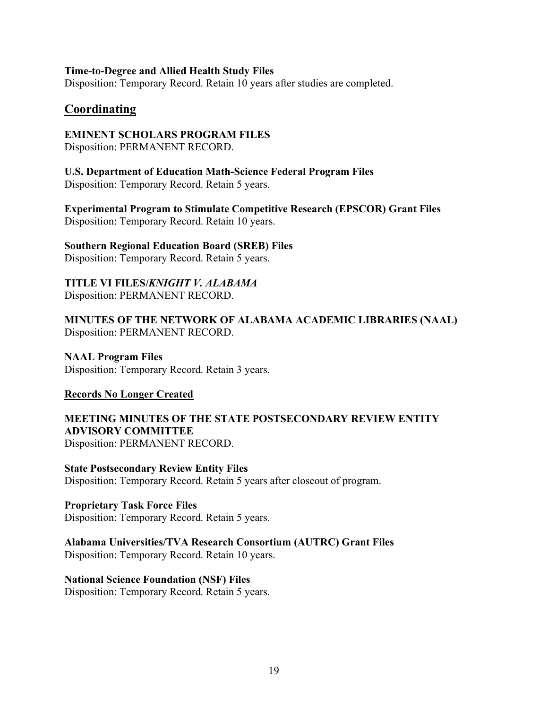#### Time-to-Degree and Allied Health Study Files

Disposition: Temporary Record. Retain 10 years after studies are completed.

#### Coordinating

#### EMINENT SCHOLARS PROGRAM FILES

Disposition: PERMANENT RECORD.

## U.S. Department of Education Math-Science Federal Program Files

Disposition: Temporary Record. Retain 5 years.

Experimental Program to Stimulate Competitive Research (EPSCOR) Grant Files Disposition: Temporary Record. Retain 10 years.

#### Southern Regional Education Board (SREB) Files

Disposition: Temporary Record. Retain 5 years.

### TITLE VI FILES/KNIGHT V. ALABAMA

Disposition: PERMANENT RECORD.

MINUTES OF THE NETWORK OF ALABAMA ACADEMIC LIBRARIES (NAAL) Disposition: PERMANENT RECORD.

NAAL Program Files Disposition: Temporary Record. Retain 3 years.

#### Records No Longer Created

#### MEETING MINUTES OF THE STATE POSTSECONDARY REVIEW ENTITY ADVISORY COMMITTEE Disposition: PERMANENT RECORD.

State Postsecondary Review Entity Files Disposition: Temporary Record. Retain 5 years after closeout of program.

Proprietary Task Force Files Disposition: Temporary Record. Retain 5 years.

#### Alabama Universities/TVA Research Consortium (AUTRC) Grant Files

Disposition: Temporary Record. Retain 10 years.

#### National Science Foundation (NSF) Files

Disposition: Temporary Record. Retain 5 years.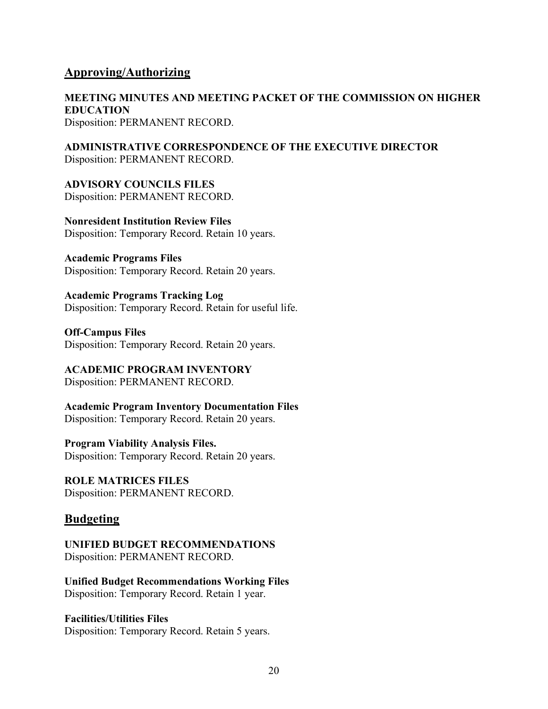#### Approving/Authorizing

MEETING MINUTES AND MEETING PACKET OF THE COMMISSION ON HIGHER EDUCATION Disposition: PERMANENT RECORD.

ADMINISTRATIVE CORRESPONDENCE OF THE EXECUTIVE DIRECTOR Disposition: PERMANENT RECORD.

ADVISORY COUNCILS FILES Disposition: PERMANENT RECORD.

Nonresident Institution Review Files Disposition: Temporary Record. Retain 10 years.

Academic Programs Files Disposition: Temporary Record. Retain 20 years.

Academic Programs Tracking Log Disposition: Temporary Record. Retain for useful life.

Off-Campus Files Disposition: Temporary Record. Retain 20 years.

ACADEMIC PROGRAM INVENTORY Disposition: PERMANENT RECORD.

Academic Program Inventory Documentation Files Disposition: Temporary Record. Retain 20 years.

Program Viability Analysis Files. Disposition: Temporary Record. Retain 20 years.

ROLE MATRICES FILES Disposition: PERMANENT RECORD.

### **Budgeting**

UNIFIED BUDGET RECOMMENDATIONS Disposition: PERMANENT RECORD.

Unified Budget Recommendations Working Files Disposition: Temporary Record. Retain 1 year.

Facilities/Utilities Files Disposition: Temporary Record. Retain 5 years.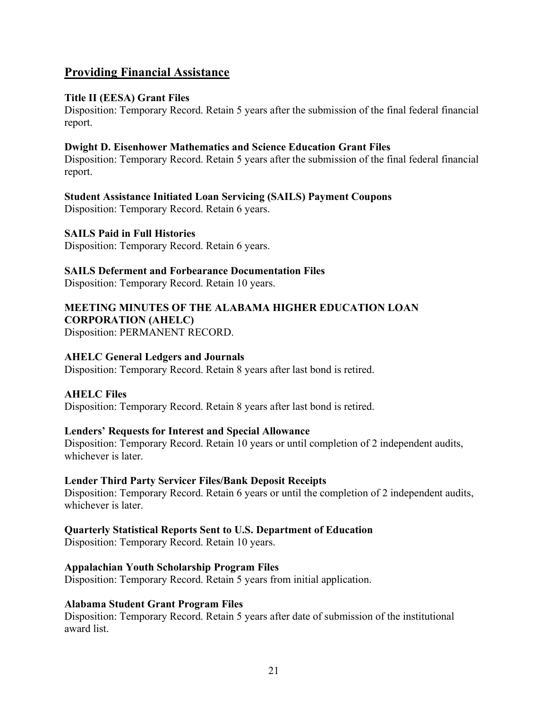## Providing Financial Assistance

#### Title II (EESA) Grant Files

Disposition: Temporary Record. Retain 5 years after the submission of the final federal financial report.

#### Dwight D. Eisenhower Mathematics and Science Education Grant Files

Disposition: Temporary Record. Retain 5 years after the submission of the final federal financial report.

#### Student Assistance Initiated Loan Servicing (SAILS) Payment Coupons

Disposition: Temporary Record. Retain 6 years.

#### SAILS Paid in Full Histories

Disposition: Temporary Record. Retain 6 years.

#### SAILS Deferment and Forbearance Documentation Files

Disposition: Temporary Record. Retain 10 years.

#### MEETING MINUTES OF THE ALABAMA HIGHER EDUCATION LOAN CORPORATION (AHELC)

Disposition: PERMANENT RECORD.

#### AHELC General Ledgers and Journals

Disposition: Temporary Record. Retain 8 years after last bond is retired.

#### AHELC Files

Disposition: Temporary Record. Retain 8 years after last bond is retired.

#### Lenders' Requests for Interest and Special Allowance

Disposition: Temporary Record. Retain 10 years or until completion of 2 independent audits, whichever is later.

#### Lender Third Party Servicer Files/Bank Deposit Receipts

Disposition: Temporary Record. Retain 6 years or until the completion of 2 independent audits, whichever is later.

#### Quarterly Statistical Reports Sent to U.S. Department of Education

Disposition: Temporary Record. Retain 10 years.

#### Appalachian Youth Scholarship Program Files

Disposition: Temporary Record. Retain 5 years from initial application.

#### Alabama Student Grant Program Files

Disposition: Temporary Record. Retain 5 years after date of submission of the institutional award list.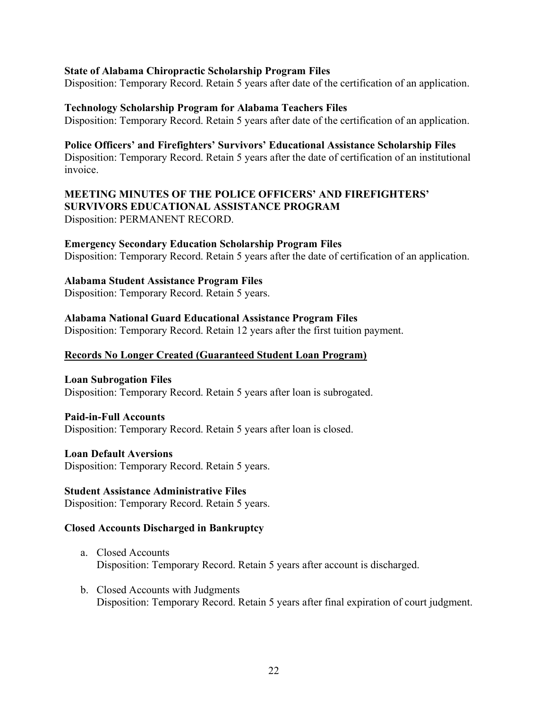#### State of Alabama Chiropractic Scholarship Program Files

Disposition: Temporary Record. Retain 5 years after date of the certification of an application.

#### Technology Scholarship Program for Alabama Teachers Files

Disposition: Temporary Record. Retain 5 years after date of the certification of an application.

#### Police Officers' and Firefighters' Survivors' Educational Assistance Scholarship Files

Disposition: Temporary Record. Retain 5 years after the date of certification of an institutional invoice.

#### MEETING MINUTES OF THE POLICE OFFICERS' AND FIREFIGHTERS' SURVIVORS EDUCATIONAL ASSISTANCE PROGRAM Disposition: PERMANENT RECORD.

#### Emergency Secondary Education Scholarship Program Files

Disposition: Temporary Record. Retain 5 years after the date of certification of an application.

#### Alabama Student Assistance Program Files

Disposition: Temporary Record. Retain 5 years.

#### Alabama National Guard Educational Assistance Program Files

Disposition: Temporary Record. Retain 12 years after the first tuition payment.

#### Records No Longer Created (Guaranteed Student Loan Program)

Loan Subrogation Files Disposition: Temporary Record. Retain 5 years after loan is subrogated.

#### Paid-in-Full Accounts

Disposition: Temporary Record. Retain 5 years after loan is closed.

#### Loan Default Aversions

Disposition: Temporary Record. Retain 5 years.

#### Student Assistance Administrative Files

Disposition: Temporary Record. Retain 5 years.

#### Closed Accounts Discharged in Bankruptcy

- a. Closed Accounts Disposition: Temporary Record. Retain 5 years after account is discharged.
- b. Closed Accounts with Judgments Disposition: Temporary Record. Retain 5 years after final expiration of court judgment.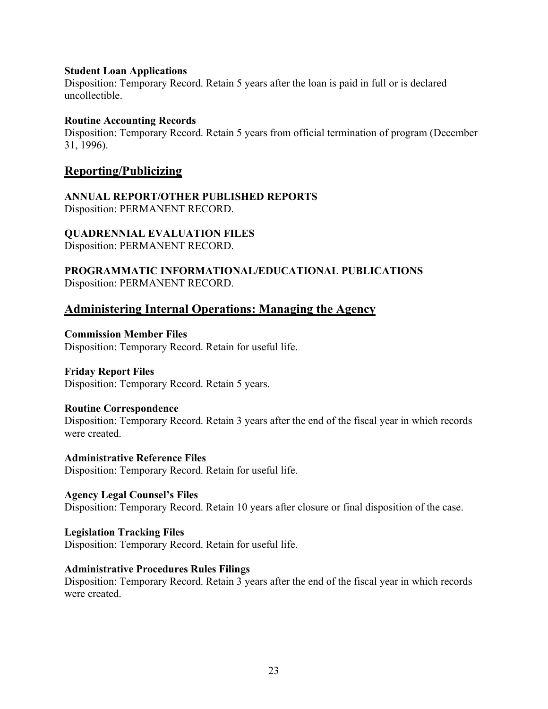#### Student Loan Applications

Disposition: Temporary Record. Retain 5 years after the loan is paid in full or is declared uncollectible.

#### Routine Accounting Records

Disposition: Temporary Record. Retain 5 years from official termination of program (December 31, 1996).

#### Reporting/Publicizing

ANNUAL REPORT/OTHER PUBLISHED REPORTS Disposition: PERMANENT RECORD.

#### QUADRENNIAL EVALUATION FILES

Disposition: PERMANENT RECORD.

PROGRAMMATIC INFORMATIONAL/EDUCATIONAL PUBLICATIONS Disposition: PERMANENT RECORD.

### Administering Internal Operations: Managing the Agency

#### Commission Member Files

Disposition: Temporary Record. Retain for useful life.

#### Friday Report Files

Disposition: Temporary Record. Retain 5 years.

#### Routine Correspondence

Disposition: Temporary Record. Retain 3 years after the end of the fiscal year in which records were created.

Administrative Reference Files Disposition: Temporary Record. Retain for useful life.

Agency Legal Counsel's Files Disposition: Temporary Record. Retain 10 years after closure or final disposition of the case.

#### Legislation Tracking Files

Disposition: Temporary Record. Retain for useful life.

#### Administrative Procedures Rules Filings

Disposition: Temporary Record. Retain 3 years after the end of the fiscal year in which records were created.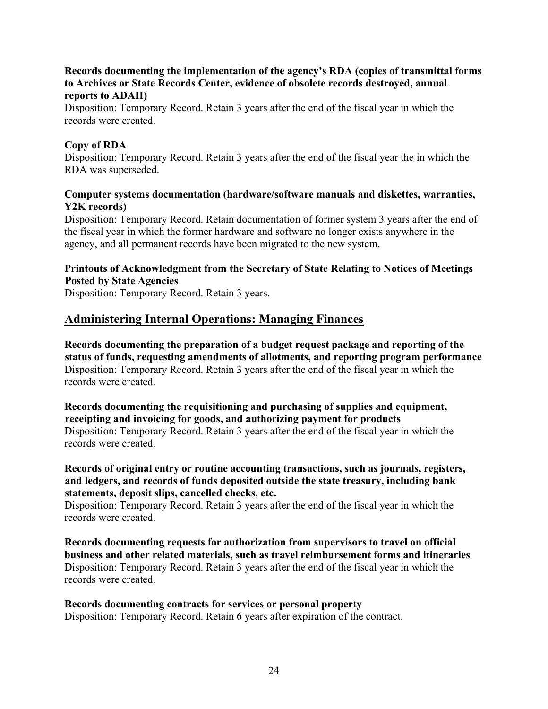#### Records documenting the implementation of the agency's RDA (copies of transmittal forms to Archives or State Records Center, evidence of obsolete records destroyed, annual reports to ADAH)

Disposition: Temporary Record. Retain 3 years after the end of the fiscal year in which the records were created.

#### Copy of RDA

Disposition: Temporary Record. Retain 3 years after the end of the fiscal year the in which the RDA was superseded.

#### Computer systems documentation (hardware/software manuals and diskettes, warranties, Y2K records)

Disposition: Temporary Record. Retain documentation of former system 3 years after the end of the fiscal year in which the former hardware and software no longer exists anywhere in the agency, and all permanent records have been migrated to the new system.

Printouts of Acknowledgment from the Secretary of State Relating to Notices of Meetings Posted by State Agencies

Disposition: Temporary Record. Retain 3 years.

## Administering Internal Operations: Managing Finances

Records documenting the preparation of a budget request package and reporting of the status of funds, requesting amendments of allotments, and reporting program performance Disposition: Temporary Record. Retain 3 years after the end of the fiscal year in which the records were created.

Records documenting the requisitioning and purchasing of supplies and equipment, receipting and invoicing for goods, and authorizing payment for products Disposition: Temporary Record. Retain 3 years after the end of the fiscal year in which the records were created.

#### Records of original entry or routine accounting transactions, such as journals, registers, and ledgers, and records of funds deposited outside the state treasury, including bank statements, deposit slips, cancelled checks, etc.

Disposition: Temporary Record. Retain 3 years after the end of the fiscal year in which the records were created.

Records documenting requests for authorization from supervisors to travel on official business and other related materials, such as travel reimbursement forms and itineraries Disposition: Temporary Record. Retain 3 years after the end of the fiscal year in which the records were created.

#### Records documenting contracts for services or personal property Disposition: Temporary Record. Retain 6 years after expiration of the contract.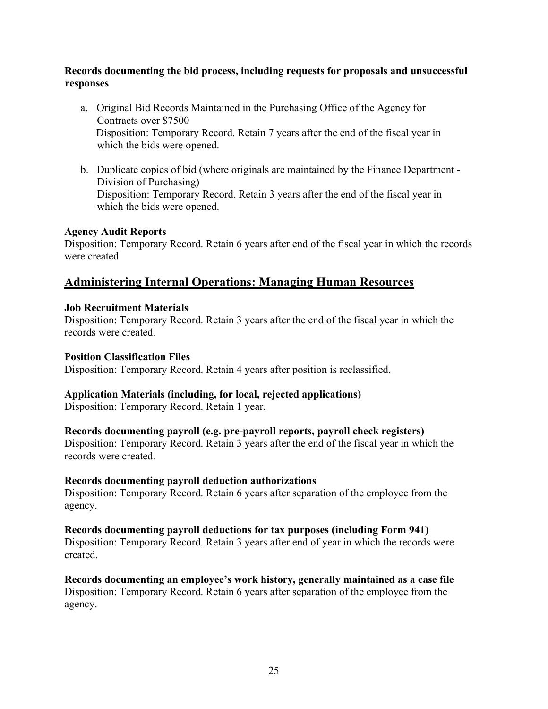#### Records documenting the bid process, including requests for proposals and unsuccessful responses

- a. Original Bid Records Maintained in the Purchasing Office of the Agency for Contracts over \$7500 Disposition: Temporary Record. Retain 7 years after the end of the fiscal year in which the bids were opened.
- b. Duplicate copies of bid (where originals are maintained by the Finance Department Division of Purchasing) Disposition: Temporary Record. Retain 3 years after the end of the fiscal year in which the bids were opened.

#### Agency Audit Reports

Disposition: Temporary Record. Retain 6 years after end of the fiscal year in which the records were created.

## Administering Internal Operations: Managing Human Resources

#### Job Recruitment Materials

Disposition: Temporary Record. Retain 3 years after the end of the fiscal year in which the records were created.

#### Position Classification Files

Disposition: Temporary Record. Retain 4 years after position is reclassified.

#### Application Materials (including, for local, rejected applications)

Disposition: Temporary Record. Retain 1 year.

#### Records documenting payroll (e.g. pre-payroll reports, payroll check registers)

Disposition: Temporary Record. Retain 3 years after the end of the fiscal year in which the records were created.

#### Records documenting payroll deduction authorizations

Disposition: Temporary Record. Retain 6 years after separation of the employee from the agency.

#### Records documenting payroll deductions for tax purposes (including Form 941)

Disposition: Temporary Record. Retain 3 years after end of year in which the records were created.

Records documenting an employee's work history, generally maintained as a case file Disposition: Temporary Record. Retain 6 years after separation of the employee from the agency.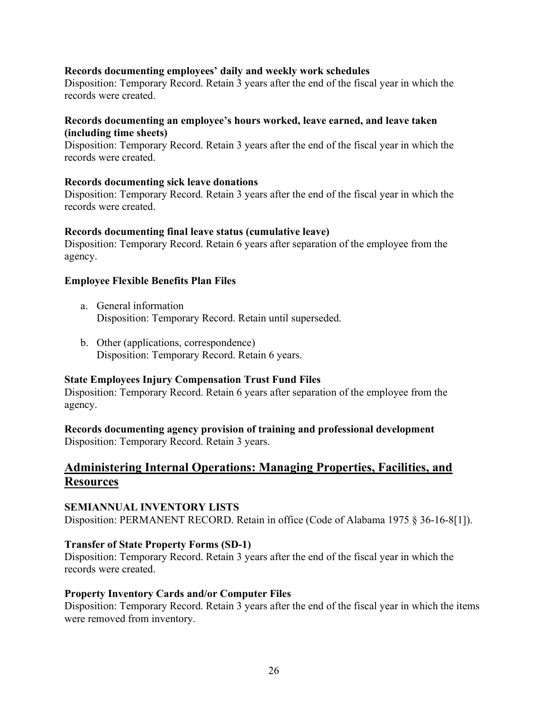#### Records documenting employees' daily and weekly work schedules

Disposition: Temporary Record. Retain 3 years after the end of the fiscal year in which the records were created.

#### Records documenting an employee's hours worked, leave earned, and leave taken (including time sheets)

Disposition: Temporary Record. Retain 3 years after the end of the fiscal year in which the records were created.

#### Records documenting sick leave donations

Disposition: Temporary Record. Retain 3 years after the end of the fiscal year in which the records were created.

#### Records documenting final leave status (cumulative leave)

Disposition: Temporary Record. Retain 6 years after separation of the employee from the agency.

#### Employee Flexible Benefits Plan Files

- a. General information Disposition: Temporary Record. Retain until superseded.
- b. Other (applications, correspondence) Disposition: Temporary Record. Retain 6 years.

#### State Employees Injury Compensation Trust Fund Files

Disposition: Temporary Record. Retain 6 years after separation of the employee from the agency.

Records documenting agency provision of training and professional development Disposition: Temporary Record. Retain 3 years.

## Administering Internal Operations: Managing Properties, Facilities, and **Resources**

#### SEMIANNUAL INVENTORY LISTS Disposition: PERMANENT RECORD. Retain in office (Code of Alabama 1975 § 36-16-8[1]).

#### Transfer of State Property Forms (SD-1)

Disposition: Temporary Record. Retain 3 years after the end of the fiscal year in which the records were created.

#### Property Inventory Cards and/or Computer Files

Disposition: Temporary Record. Retain 3 years after the end of the fiscal year in which the items were removed from inventory.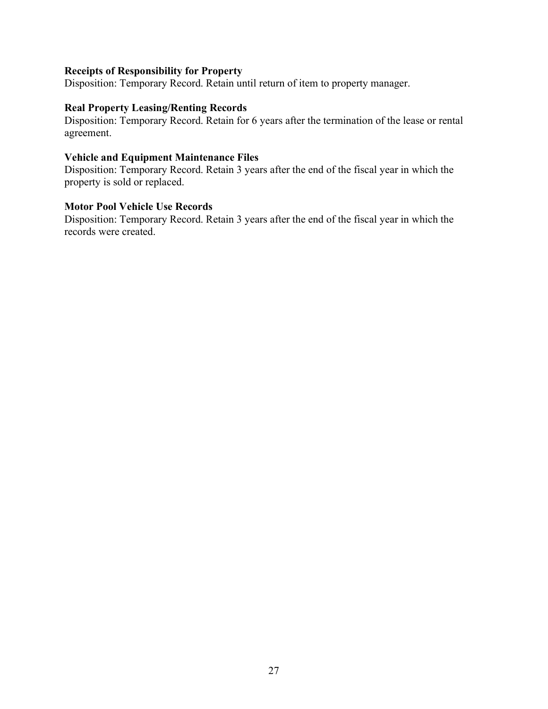#### Receipts of Responsibility for Property

Disposition: Temporary Record. Retain until return of item to property manager.

#### Real Property Leasing/Renting Records

Disposition: Temporary Record. Retain for 6 years after the termination of the lease or rental agreement.

#### Vehicle and Equipment Maintenance Files

Disposition: Temporary Record. Retain 3 years after the end of the fiscal year in which the property is sold or replaced.

#### Motor Pool Vehicle Use Records

Disposition: Temporary Record. Retain 3 years after the end of the fiscal year in which the records were created.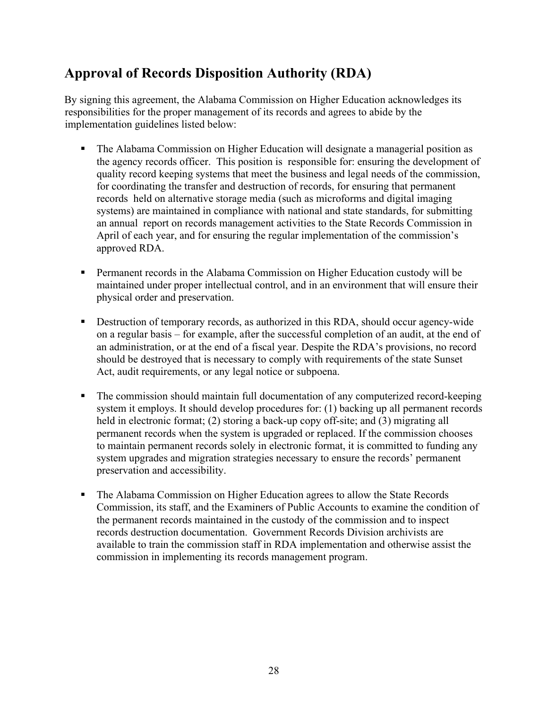## Approval of Records Disposition Authority (RDA)

By signing this agreement, the Alabama Commission on Higher Education acknowledges its responsibilities for the proper management of its records and agrees to abide by the implementation guidelines listed below:

- The Alabama Commission on Higher Education will designate a managerial position as the agency records officer. This position is responsible for: ensuring the development of quality record keeping systems that meet the business and legal needs of the commission, for coordinating the transfer and destruction of records, for ensuring that permanent records held on alternative storage media (such as microforms and digital imaging systems) are maintained in compliance with national and state standards, for submitting an annual report on records management activities to the State Records Commission in April of each year, and for ensuring the regular implementation of the commission's approved RDA.
- **Permanent records in the Alabama Commission on Higher Education custody will be** maintained under proper intellectual control, and in an environment that will ensure their physical order and preservation.
- Destruction of temporary records, as authorized in this RDA, should occur agency-wide on a regular basis – for example, after the successful completion of an audit, at the end of an administration, or at the end of a fiscal year. Despite the RDA's provisions, no record should be destroyed that is necessary to comply with requirements of the state Sunset Act, audit requirements, or any legal notice or subpoena.
- The commission should maintain full documentation of any computerized record-keeping system it employs. It should develop procedures for: (1) backing up all permanent records held in electronic format; (2) storing a back-up copy off-site; and (3) migrating all permanent records when the system is upgraded or replaced. If the commission chooses to maintain permanent records solely in electronic format, it is committed to funding any system upgrades and migration strategies necessary to ensure the records' permanent preservation and accessibility.
- The Alabama Commission on Higher Education agrees to allow the State Records Commission, its staff, and the Examiners of Public Accounts to examine the condition of the permanent records maintained in the custody of the commission and to inspect records destruction documentation. Government Records Division archivists are available to train the commission staff in RDA implementation and otherwise assist the commission in implementing its records management program.